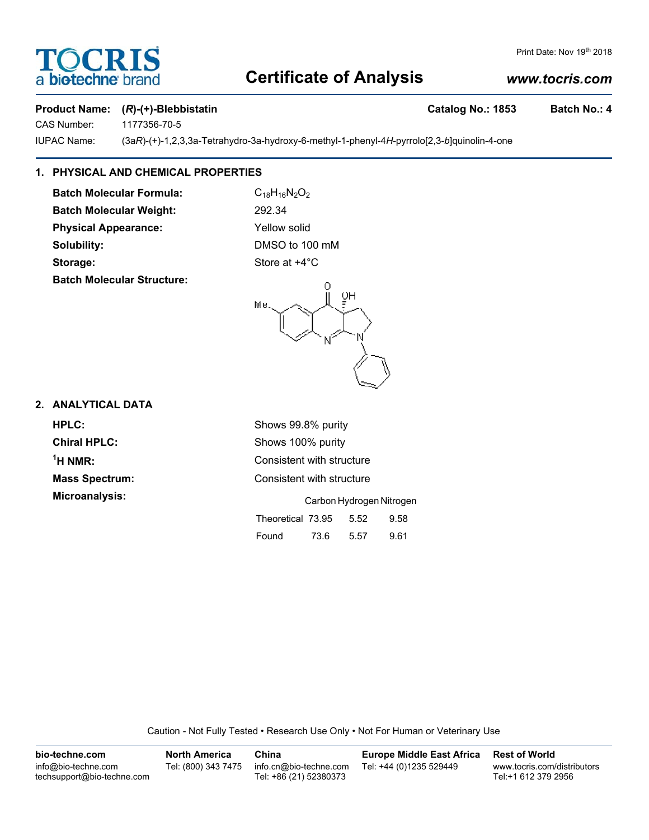# OCRIS a **biotechne** b

#### Print Date: Nov 19th 2018

# **Certificate of Analysis**

# *www.tocris.com*

### **Product Name:** (*R*)-(+)-Blebbistatin Catalog No.: 1853 Batch No.: 4

CAS Number: 1177356-70-5

IUPAC Name: (3a*R*)-(+)-1,2,3,3a-Tetrahydro-3a-hydroxy-6-methyl-1-phenyl-4*H*-pyrrolo[2,3-*b*]quinolin-4-one

# **1. PHYSICAL AND CHEMICAL PROPERTIES**

**Batch Molecular Formula:** C<sub>18</sub>H<sub>16</sub>N<sub>2</sub>O<sub>2</sub> **Batch Molecular Weight:** 292.34 **Physical Appearance:** Yellow solid **Solubility:** DMSO to 100 mM **Storage:** Store at  $+4^{\circ}$ C **Batch Molecular Structure:**



## **2. ANALYTICAL DATA**

 $<sup>1</sup>H NMR$ :</sup>

**HPLC:** Shows 99.8% purity **Chiral HPLC:** Shows 100% purity **Consistent with structure Mass Spectrum:** Consistent with structure **Microanalysis:** Carbon Hydrogen Nitrogen Theoretical 73.95 5.52 9.58

| Found | 73.6 | 5.57 | 9.61 |
|-------|------|------|------|

Caution - Not Fully Tested • Research Use Only • Not For Human or Veterinary Use

| bio-techne.com                                    | <b>North America</b> | China                                            | Europe Middle East Africa | <b>Rest of World</b>                               |
|---------------------------------------------------|----------------------|--------------------------------------------------|---------------------------|----------------------------------------------------|
| info@bio-techne.com<br>techsupport@bio-techne.com | Tel: (800) 343 7475  | info.cn@bio-techne.com<br>Tel: +86 (21) 52380373 | Tel: +44 (0)1235 529449   | www.tocris.com/distributors<br>Tel:+1 612 379 2956 |